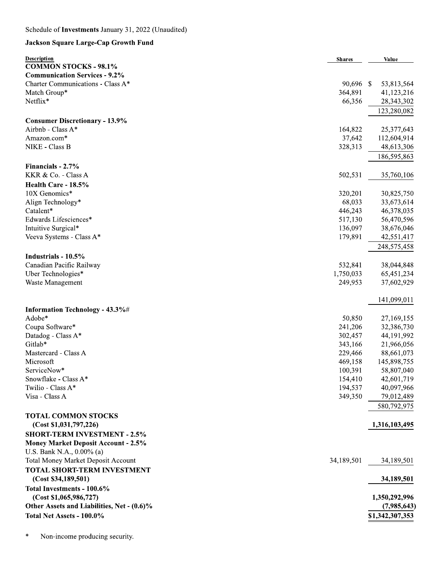## Jackson Square Large-Cap Growth Fund

| <b>Description</b>                         | <b>Shares</b> | Value           |
|--------------------------------------------|---------------|-----------------|
| <b>COMMON STOCKS - 98.1%</b>               |               |                 |
| <b>Communication Services - 9.2%</b>       |               |                 |
| Charter Communications - Class A*          | 90,696 \$     | 53,813,564      |
| Match Group*                               | 364,891       | 41,123,216      |
| Netflix*                                   | 66,356        | 28,343,302      |
|                                            |               | 123,280,082     |
| <b>Consumer Discretionary - 13.9%</b>      |               |                 |
| Airbnb - Class A*                          | 164,822       | 25,377,643      |
| Amazon.com*                                | 37,642        | 112,604,914     |
| NIKE - Class B                             | 328,313       | 48,613,306      |
|                                            |               | 186,595,863     |
| Financials - 2.7%                          |               |                 |
| KKR & Co. - Class A                        | 502,531       | 35,760,106      |
| Health Care - 18.5%                        |               |                 |
| 10X Genomics*                              | 320,201       | 30,825,750      |
| Align Technology*                          | 68,033        | 33,673,614      |
| Catalent*                                  | 446,243       | 46,378,035      |
| Edwards Lifesciences*                      | 517,130       | 56,470,596      |
| Intuitive Surgical*                        | 136,097       | 38,676,046      |
| Veeva Systems - Class A*                   | 179,891       | 42,551,417      |
|                                            |               | 248,575,458     |
| Industrials - 10.5%                        |               |                 |
| Canadian Pacific Railway                   | 532,841       | 38,044,848      |
| Uber Technologies*                         | 1,750,033     | 65,451,234      |
| Waste Management                           | 249,953       | 37,602,929      |
|                                            |               | 141,099,011     |
| Information Technology - 43.3%#            |               |                 |
| Adobe*                                     | 50,850        | 27,169,155      |
| Coupa Software*                            | 241,206       | 32,386,730      |
| Datadog - Class A*                         | 302,457       | 44,191,992      |
| Gitlab*                                    | 343,166       | 21,966,056      |
| Mastercard - Class A                       | 229,466       | 88,661,073      |
| Microsoft                                  | 469,158       | 145,898,755     |
| ServiceNow*                                | 100,391       | 58,807,040      |
| Snowflake - Class A*                       | 154,410       | 42,601,719      |
| Twilio - Class A*                          | 194,537       | 40,097,966      |
| Visa - Class A                             | 349,350       | 79,012,489      |
|                                            |               | 580,792,975     |
| <b>TOTAL COMMON STOCKS</b>                 |               |                 |
| (Cost \$1,031,797,226)                     |               | 1,316,103,495   |
| <b>SHORT-TERM INVESTMENT - 2.5%</b>        |               |                 |
| <b>Money Market Deposit Account - 2.5%</b> |               |                 |
| U.S. Bank N.A., 0.00% (a)                  |               |                 |
| <b>Total Money Market Deposit Account</b>  | 34,189,501    | 34,189,501      |
| <b>TOTAL SHORT-TERM INVESTMENT</b>         |               |                 |
| (Cost \$34,189,501)                        |               | 34,189,501      |
| Total Investments - 100.6%                 |               |                 |
| (Cost \$1,065,986,727)                     |               | 1,350,292,996   |
| Other Assets and Liabilities, Net - (0.6)% |               | (7,985,643)     |
| Total Net Assets - 100.0%                  |               | \$1,342,307,353 |
|                                            |               |                 |

 $\ast$ Non-income producing security.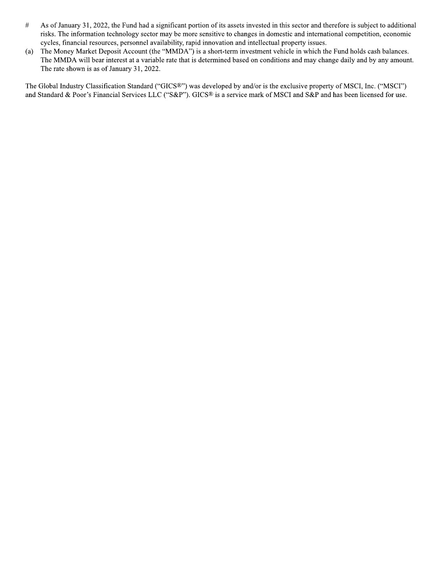- $\#$ As of January 31, 2022, the Fund had a significant portion of its assets invested in this sector and therefore is subject to additional risks. The information technology sector may be more sensitive to changes in domestic and international competition, economic cycles, financial resources, personnel availability, rapid innovation and intellectual property issues.
- $(a)$ The Money Market Deposit Account (the "MMDA") is a short-term investment vehicle in which the Fund holds cash balances. The MMDA will bear interest at a variable rate that is determined based on conditions and may change daily and by any amount. The rate shown is as of January 31, 2022.

The Global Industry Classification Standard ("GICS®") was developed by and/or is the exclusive property of MSCI, Inc. ("MSCI") and Standard & Poor's Financial Services LLC ("S&P"). GICS® is a service mark of MSCI and S&P and has been licensed for use.